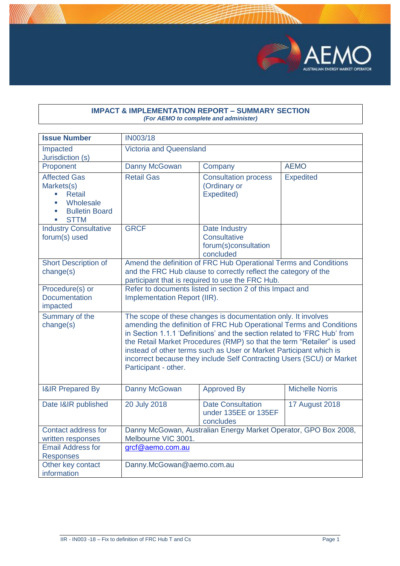

#### **IMPACT & IMPLEMENTATION REPORT – SUMMARY SECTION** *(For AEMO to complete and administer)*

| <b>Issue Number</b>                                                                                                          | <b>IN003/18</b>                                                                                                                                                                                                                                                                                                                                                                                                                                                   |                                                                    |                        |
|------------------------------------------------------------------------------------------------------------------------------|-------------------------------------------------------------------------------------------------------------------------------------------------------------------------------------------------------------------------------------------------------------------------------------------------------------------------------------------------------------------------------------------------------------------------------------------------------------------|--------------------------------------------------------------------|------------------------|
| Impacted<br>Jurisdiction (s)                                                                                                 | <b>Victoria and Queensland</b>                                                                                                                                                                                                                                                                                                                                                                                                                                    |                                                                    |                        |
| Proponent                                                                                                                    | Danny McGowan                                                                                                                                                                                                                                                                                                                                                                                                                                                     | Company                                                            | <b>AEMO</b>            |
| <b>Affected Gas</b><br>Markets(s)<br>Retail<br>$\overline{\phantom{a}}$<br>Wholesale<br><b>Bulletin Board</b><br><b>STTM</b> | <b>Retail Gas</b>                                                                                                                                                                                                                                                                                                                                                                                                                                                 | <b>Consultation process</b><br>(Ordinary or<br>Expedited)          | <b>Expedited</b>       |
| <b>Industry Consultative</b><br>forum(s) used                                                                                | <b>GRCF</b>                                                                                                                                                                                                                                                                                                                                                                                                                                                       | Date Industry<br>Consultative<br>forum(s)consultation<br>concluded |                        |
| <b>Short Description of</b><br>change(s)                                                                                     | Amend the definition of FRC Hub Operational Terms and Conditions<br>and the FRC Hub clause to correctly reflect the category of the<br>participant that is required to use the FRC Hub.                                                                                                                                                                                                                                                                           |                                                                    |                        |
| Procedure(s) or<br><b>Documentation</b><br>impacted                                                                          | Refer to documents listed in section 2 of this Impact and<br>Implementation Report (IIR).                                                                                                                                                                                                                                                                                                                                                                         |                                                                    |                        |
| Summary of the<br>change(s)                                                                                                  | The scope of these changes is documentation only. It involves<br>amending the definition of FRC Hub Operational Terms and Conditions<br>in Section 1.1.1 'Definitions' and the section related to 'FRC Hub' from<br>the Retail Market Procedures (RMP) so that the term "Retailer" is used<br>instead of other terms such as User or Market Participant which is<br>incorrect because they include Self Contracting Users (SCU) or Market<br>Participant - other. |                                                                    |                        |
| <b>I&amp;IR Prepared By</b>                                                                                                  | Danny McGowan                                                                                                                                                                                                                                                                                                                                                                                                                                                     | <b>Approved By</b>                                                 | <b>Michelle Norris</b> |
| Date I&IR published                                                                                                          | 20 July 2018                                                                                                                                                                                                                                                                                                                                                                                                                                                      | <b>Date Consultation</b><br>under 135EE or 135EF<br>concludes      | <b>17 August 2018</b>  |
| Contact address for<br>written responses                                                                                     | Danny McGowan, Australian Energy Market Operator, GPO Box 2008,<br>Melbourne VIC 3001.                                                                                                                                                                                                                                                                                                                                                                            |                                                                    |                        |
| <b>Email Address for</b><br><b>Responses</b>                                                                                 | grcf@aemo.com.au                                                                                                                                                                                                                                                                                                                                                                                                                                                  |                                                                    |                        |
| Other key contact<br>information                                                                                             | Danny.McGowan@aemo.com.au                                                                                                                                                                                                                                                                                                                                                                                                                                         |                                                                    |                        |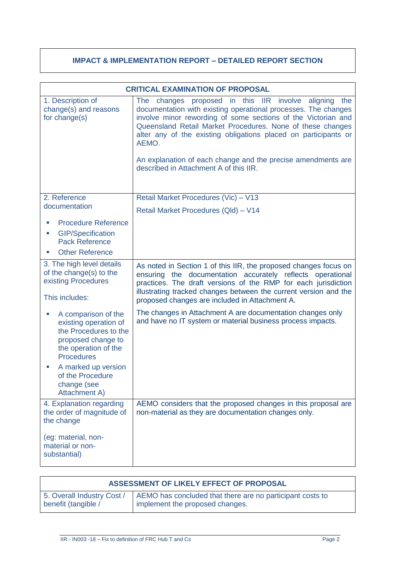# **IMPACT & IMPLEMENTATION REPORT – DETAILED REPORT SECTION**

| <b>CRITICAL EXAMINATION OF PROPOSAL</b>                                                                                                                         |                                                                                                                                                                                                                                                                                                                                                                                                                                                       |  |
|-----------------------------------------------------------------------------------------------------------------------------------------------------------------|-------------------------------------------------------------------------------------------------------------------------------------------------------------------------------------------------------------------------------------------------------------------------------------------------------------------------------------------------------------------------------------------------------------------------------------------------------|--|
| 1. Description of<br>change(s) and reasons<br>for change(s)                                                                                                     | changes proposed in this IIR involve<br>aligning<br>the<br>The<br>documentation with existing operational processes. The changes<br>involve minor rewording of some sections of the Victorian and<br>Queensland Retail Market Procedures. None of these changes<br>alter any of the existing obligations placed on participants or<br>AEMO.<br>An explanation of each change and the precise amendments are<br>described in Attachment A of this IIR. |  |
| 2. Reference                                                                                                                                                    | Retail Market Procedures (Vic) - V13                                                                                                                                                                                                                                                                                                                                                                                                                  |  |
| documentation                                                                                                                                                   | Retail Market Procedures (Qld) - V14                                                                                                                                                                                                                                                                                                                                                                                                                  |  |
| <b>Procedure Reference</b>                                                                                                                                      |                                                                                                                                                                                                                                                                                                                                                                                                                                                       |  |
| <b>GIP/Specification</b><br>×.<br><b>Pack Reference</b>                                                                                                         |                                                                                                                                                                                                                                                                                                                                                                                                                                                       |  |
| <b>Other Reference</b><br>×.                                                                                                                                    |                                                                                                                                                                                                                                                                                                                                                                                                                                                       |  |
| 3. The high level details<br>of the change(s) to the<br>existing Procedures<br>This includes:                                                                   | As noted in Section 1 of this IIR, the proposed changes focus on<br>ensuring the documentation accurately reflects operational<br>practices. The draft versions of the RMP for each jurisdiction<br>illustrating tracked changes between the current version and the<br>proposed changes are included in Attachment A.                                                                                                                                |  |
| A comparison of the<br>existing operation of<br>the Procedures to the<br>proposed change to<br>the operation of the<br><b>Procedures</b><br>A marked up version | The changes in Attachment A are documentation changes only<br>and have no IT system or material business process impacts.                                                                                                                                                                                                                                                                                                                             |  |
| of the Procedure<br>change (see<br><b>Attachment A)</b>                                                                                                         |                                                                                                                                                                                                                                                                                                                                                                                                                                                       |  |
| 4. Explanation regarding<br>the order of magnitude of<br>the change                                                                                             | AEMO considers that the proposed changes in this proposal are<br>non-material as they are documentation changes only.                                                                                                                                                                                                                                                                                                                                 |  |
| (eg: material, non-<br>material or non-<br>substantial)                                                                                                         |                                                                                                                                                                                                                                                                                                                                                                                                                                                       |  |

| ASSESSMENT OF LIKELY EFFECT OF PROPOSAL           |                                                                                              |  |  |
|---------------------------------------------------|----------------------------------------------------------------------------------------------|--|--|
| 5. Overall Industry Cost /<br>benefit (tangible / | AEMO has concluded that there are no participant costs to<br>implement the proposed changes. |  |  |
|                                                   |                                                                                              |  |  |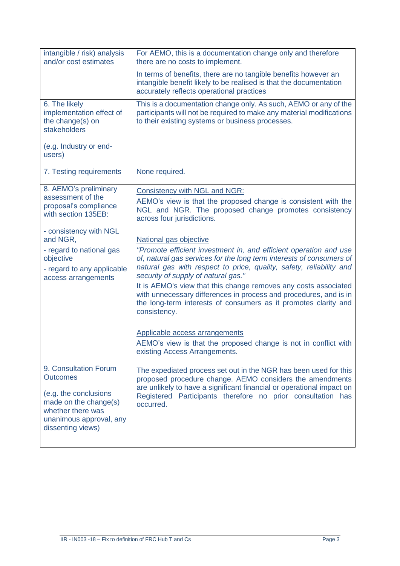| intangible / risk) analysis<br>and/or cost estimates                                       | For AEMO, this is a documentation change only and therefore<br>there are no costs to implement.                                                                                                                                                         |
|--------------------------------------------------------------------------------------------|---------------------------------------------------------------------------------------------------------------------------------------------------------------------------------------------------------------------------------------------------------|
|                                                                                            | In terms of benefits, there are no tangible benefits however an<br>intangible benefit likely to be realised is that the documentation<br>accurately reflects operational practices                                                                      |
| 6. The likely<br>implementation effect of<br>the change(s) on<br>stakeholders              | This is a documentation change only. As such, AEMO or any of the<br>participants will not be required to make any material modifications<br>to their existing systems or business processes.                                                            |
| (e.g. Industry or end-<br>users)                                                           |                                                                                                                                                                                                                                                         |
| 7. Testing requirements                                                                    | None required.                                                                                                                                                                                                                                          |
| 8. AEMO's preliminary<br>assessment of the<br>proposal's compliance<br>with section 135EB: | <b>Consistency with NGL and NGR:</b><br>AEMO's view is that the proposed change is consistent with the<br>NGL and NGR. The proposed change promotes consistency<br>across four jurisdictions.                                                           |
| - consistency with NGL<br>and NGR,                                                         | National gas objective                                                                                                                                                                                                                                  |
| - regard to national gas<br>objective<br>- regard to any applicable<br>access arrangements | "Promote efficient investment in, and efficient operation and use<br>of, natural gas services for the long term interests of consumers of<br>natural gas with respect to price, quality, safety, reliability and<br>security of supply of natural gas." |
|                                                                                            | It is AEMO's view that this change removes any costs associated<br>with unnecessary differences in process and procedures, and is in<br>the long-term interests of consumers as it promotes clarity and<br>consistency.                                 |
|                                                                                            | Applicable access arrangements<br>AEMO's view is that the proposed change is not in conflict with<br>existing Access Arrangements.                                                                                                                      |
| 9. Consultation Forum                                                                      |                                                                                                                                                                                                                                                         |
| <b>Outcomes</b>                                                                            | The expediated process set out in the NGR has been used for this<br>proposed procedure change. AEMO considers the amendments                                                                                                                            |
| (e.g. the conclusions<br>made on the change(s)<br>whether there was                        | are unlikely to have a significant financial or operational impact on<br>Registered Participants therefore no prior consultation has<br>occurred.                                                                                                       |
| unanimous approval, any<br>dissenting views)                                               |                                                                                                                                                                                                                                                         |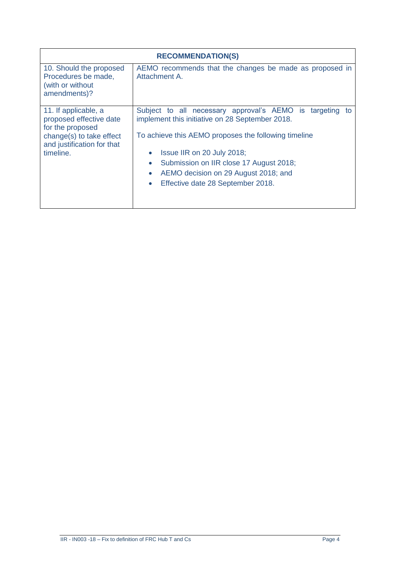| <b>RECOMMENDATION(S)</b>                                                                                                                   |                                                                                                                                                                                                                                                                                                                                                                        |  |  |  |
|--------------------------------------------------------------------------------------------------------------------------------------------|------------------------------------------------------------------------------------------------------------------------------------------------------------------------------------------------------------------------------------------------------------------------------------------------------------------------------------------------------------------------|--|--|--|
| 10. Should the proposed<br>Procedures be made,<br>(with or without)<br>amendments)?                                                        | AEMO recommends that the changes be made as proposed in<br>Attachment A.                                                                                                                                                                                                                                                                                               |  |  |  |
| 11. If applicable, a<br>proposed effective date<br>for the proposed<br>change(s) to take effect<br>and justification for that<br>timeline. | Subject to all necessary approval's AEMO is<br>targeting<br>to<br>implement this initiative on 28 September 2018.<br>To achieve this AEMO proposes the following timeline<br>Issue IIR on 20 July 2018;<br>Submission on IIR close 17 August 2018;<br>$\bullet$<br>AEMO decision on 29 August 2018; and<br>$\bullet$<br>Effective date 28 September 2018.<br>$\bullet$ |  |  |  |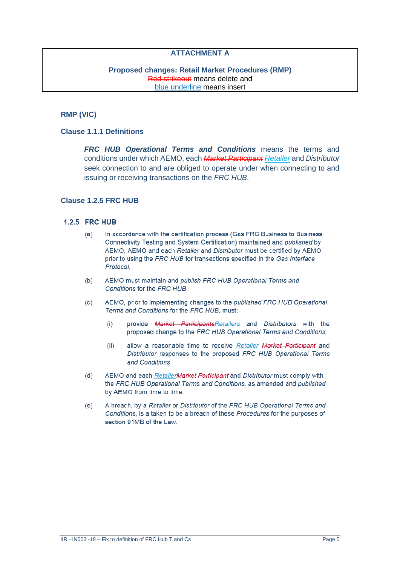## **ATTACHMENT A**

#### **Proposed changes: Retail Market Procedures (RMP)** Red strikeout means delete and blue underline means insert

## **RMP (VIC)**

## **Clause 1.1.1 Definitions**

*FRC HUB Operational Terms and Conditions* means the terms and conditions under which AEMO, each *Market Participant Retailer* and *Distributor* seek connection to and are obliged to operate under when connecting to and issuing or receiving transactions on the *FRC HUB*.

### **Clause 1.2.5 FRC HUB**

#### **1.2.5 FRC HUB**

- $(a)$ In accordance with the certification process (Gas FRC Business to Business Connectivity Testing and System Certification) maintained and published by AEMO, AEMO and each Retailer and Distributor must be certified by AEMO prior to using the FRC HUB for transactions specified in the Gas Interface Protocol.
- AEMO must maintain and publish FRC HUB Operational Terms and  $(b)$ Conditions for the FRC HUB.
- $(c)$ AEMO, prior to implementing changes to the published FRC HUB Operational Terms and Conditions for the FRC HUB, must:
	- provide Market Participants Retailers and Distributors with the  $(i)$ proposed change to the FRC HUB Operational Terms and Conditions;
	- allow a reasonable time to receive Retailer Market Participant and  $(ii)$ Distributor responses to the proposed FRC HUB Operational Terms and Conditions.
- $(d)$ AEMO and each RetailerMarket Participant and Distributor must comply with the FRC HUB Operational Terms and Conditions, as amended and published by AEMO from time to time.
- $(e)$ A breach, by a Retailer or Distributor of the FRC HUB Operational Terms and Conditions, is a taken to be a breach of these Procedures for the purposes of section 91MB of the Law.